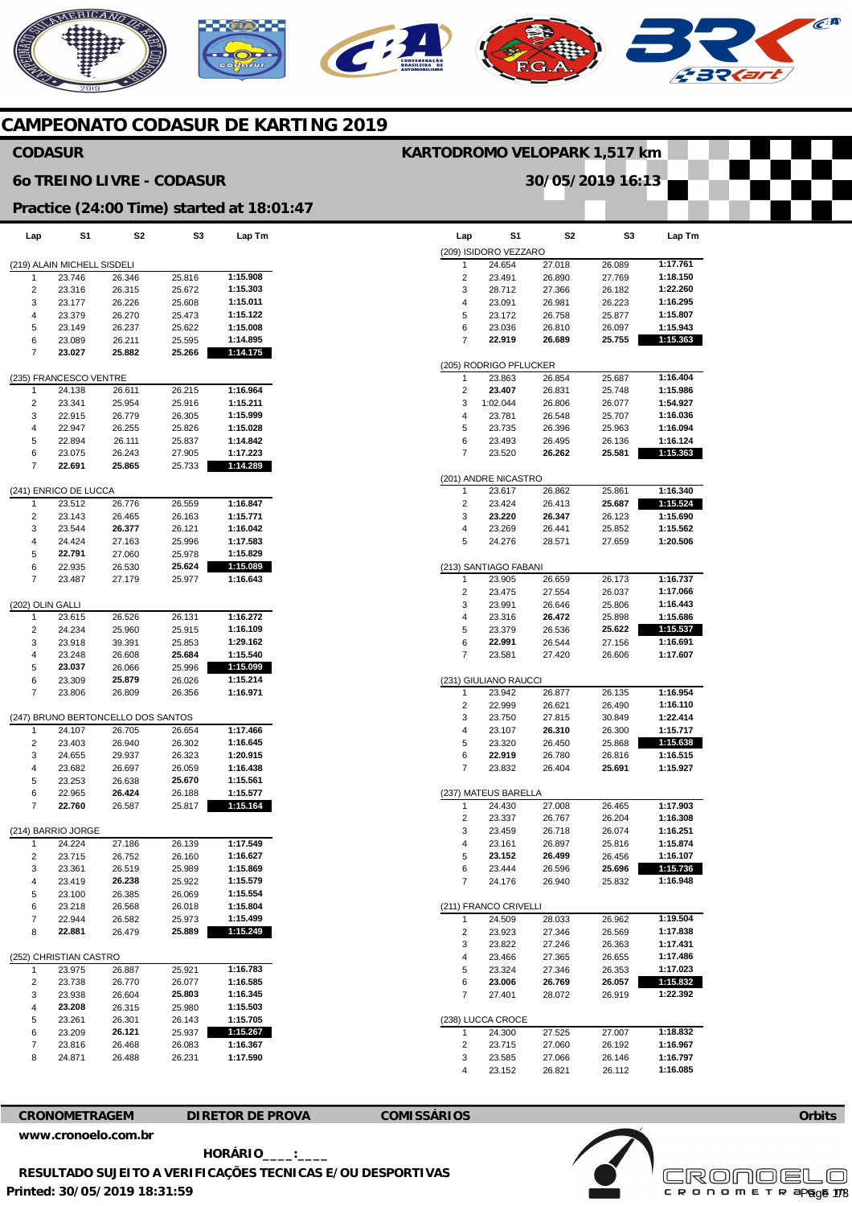# NERICANO  $\widehat{C}^{A}$

# **CAMPEONATO CODASUR DE KARTING 2019**

## **CODASUR**

## **6o TREINO LIVRE - CODASUR**

## **Practice (24:00 Time) started at 18:01:47**

| Lap                   | S1                          | S2                                 | S3     | Lap Tm   |
|-----------------------|-----------------------------|------------------------------------|--------|----------|
|                       | (219) ALAIN MICHELL SISDELI |                                    |        |          |
| 1                     | 23.746                      | 26.346                             | 25.816 | 1:15.908 |
| 2                     | 23.316                      | 26.315                             | 25.672 | 1:15.303 |
| 3                     | 23.177                      | 26.226                             | 25.608 | 1:15.011 |
| 4                     | 23.379                      | 26.270                             | 25.473 | 1:15.122 |
| 5                     | 23.149                      | 26.237                             | 25.622 | 1:15.008 |
| 6                     | 23.089                      | 26.211                             | 25.595 | 1:14.895 |
| 7                     | 23.027                      | 25.882                             | 25.266 | 1:14.175 |
|                       | (235) FRANCESCO VENTRE      |                                    |        |          |
| 1                     | 24.138                      | 26.611                             | 26.215 | 1:16.964 |
| 2                     | 23.341                      | 25.954                             | 25.916 | 1:15.211 |
| 3                     | 22.915                      | 26.779                             | 26.305 | 1:15.999 |
| 4                     | 22.947                      | 26.255                             | 25.826 | 1:15.028 |
| 5                     | 22.894                      | 26.111                             | 25.837 | 1:14.842 |
| 6                     | 23.075                      | 26.243                             | 27.905 | 1:17.223 |
| 7                     | 22.691                      | 25.865                             | 25.733 | 1:14.289 |
|                       |                             |                                    |        |          |
|                       | (241) ENRICO DE LUCCA       |                                    |        |          |
| 1                     | 23.512                      | 26.776                             | 26.559 | 1:16.847 |
| 2                     | 23.143                      | 26.465                             | 26.163 | 1:15.771 |
| 3                     | 23.544                      | 26.377                             | 26.121 | 1:16.042 |
| 4                     | 24.424                      | 27.163                             | 25.996 | 1:17.583 |
| 5                     | 22.791                      | 27.060                             | 25.978 | 1:15.829 |
| 6                     | 22.935                      | 26.530                             | 25.624 | 1:15.089 |
| 7                     | 23.487                      | 27.179                             | 25.977 | 1:16.643 |
|                       |                             |                                    |        |          |
| (202) OLIN GALLI<br>1 | 23.615                      | 26.526                             | 26.131 | 1:16.272 |
|                       | 24.234                      |                                    |        | 1:16.109 |
| 2                     |                             | 25.960                             | 25.915 |          |
| 3                     | 23.918                      | 39.391                             | 25.853 | 1:29.162 |
| 4                     | 23.248                      | 26.608                             | 25.684 | 1:15.540 |
| 5                     | 23.037                      | 26.066                             | 25.996 | 1:15.099 |
| 6                     | 23.309                      | 25.879                             | 26.026 | 1:15.214 |
| 7                     | 23.806                      | 26.809                             | 26.356 | 1:16.971 |
|                       |                             | (247) BRUNO BERTONCELLO DOS SANTOS |        |          |
| 1                     | 24.107                      | 26.705                             | 26.654 | 1:17.466 |
| 2                     | 23.403                      | 26.940                             | 26.302 | 1:16.645 |
| 3                     | 24.655                      | 29.937                             | 26.323 | 1:20.915 |
| 4                     | 23.682                      | 26.697                             | 26.059 | 1:16.438 |
| 5                     | 23.253                      | 26.638                             | 25.670 | 1:15.561 |
| 6                     | 22.965                      | 26.424                             | 26.188 | 1:15.577 |
| 7                     | 22.760                      | 26.587                             | 25.817 | 1:15.164 |
|                       |                             |                                    |        |          |
|                       | (214) BARRIO JORGE          |                                    |        |          |
| 1                     | 24.224                      | 27.186                             | 26.139 | 1:17.549 |
| $\overline{c}$        | 23.715                      | 26.752                             | 26.160 | 1:16.627 |
| 3                     | 23.361                      | 26.519                             | 25.989 | 1:15.869 |
| 4                     | 23.419                      | 26.238                             | 25.922 | 1:15.579 |
| 5                     | 23.100                      | 26.385                             | 26.069 | 1:15.554 |
| 6                     | 23.218                      | 26.568                             | 26.018 | 1:15.804 |
| 7                     | 22.944                      | 26.582                             | 25.973 | 1:15.499 |
| 8                     | 22.881                      | 26.479                             | 25.889 | 1:15.249 |
|                       | (252) CHRISTIAN CASTRO      |                                    |        |          |
| 1                     | 23.975                      | 26.887                             | 25.921 | 1:16.783 |
| 2                     | 23.738                      | 26.770                             | 26.077 | 1:16.585 |
| 3                     | 23.938                      | 26.604                             | 25.803 | 1:16.345 |
| 4                     | 23.208                      | 26.315                             | 25.980 | 1:15.503 |
| 5                     | 23.261                      | 26.301                             | 26.143 | 1:15.705 |
| 6                     | 23.209                      | 26.121                             | 25.937 | 1:15.267 |
| 7                     | 23.816                      | 26.468                             | 26.083 | 1:16.367 |
| 8                     | 24.871                      | 26.488                             | 26.231 | 1:17.590 |
|                       |                             |                                    |        |          |

| Lap    | S1                     | S2               | S3               | Lap Tm   |
|--------|------------------------|------------------|------------------|----------|
|        |                        |                  |                  |          |
|        | (209) ISIDORO VEZZARO  |                  |                  |          |
| 1      | 24.654                 | 27.018           | 26.089           | 1:17.761 |
| 2      | 23.491                 | 26.890           | 27.769           | 1:18.150 |
| 3      | 28.712                 | 27.366           | 26.182           | 1:22.260 |
| 4      | 23.091                 | 26.981           | 26.223           | 1:16.295 |
| 5      | 23.172                 | 26.758           | 25.877           | 1:15.807 |
| 6      | 23.036                 | 26.810           | 26.097           | 1:15.943 |
| 7      | 22.919                 | 26.689           | 25.755           | 1:15.363 |
|        | (205) RODRIGO PFLUCKER |                  |                  |          |
| 1      | 23.863                 | 26.854           | 25.687           | 1:16.404 |
| 2      | 23.407                 | 26.831           | 25.748           | 1:15.986 |
| 3      | 1:02.044               | 26.806           | 26.077           | 1:54.927 |
|        | 23.781                 |                  | 25.707           | 1:16.036 |
| 4      | 23.735                 | 26.548<br>26.396 | 25.963           | 1:16.094 |
| 5      |                        |                  |                  |          |
| 6<br>7 | 23.493<br>23.520       | 26.495<br>26.262 | 26.136<br>25.581 | 1:16.124 |
|        |                        |                  |                  | 1:15.363 |
|        | (201) ANDRE NICASTRO   |                  |                  |          |
| 1      | 23.617                 | 26.862           | 25.861           | 1:16.340 |
| 2      | 23.424                 | 26.413           | 25.687           | 1:15.524 |
| 3      | 23.220                 | 26.347           | 26.123           | 1:15.690 |
| 4      | 23.269                 | 26.441           | 25.852           | 1:15.562 |
| 5      | 24.276                 | 28.571           | 27.659           | 1:20.506 |
|        |                        |                  |                  |          |
|        | (213) SANTIAGO FABANI  |                  |                  |          |
| 1      | 23.905                 | 26.659           | 26.173           | 1:16.737 |
| 2      | 23.475                 | 27.554           | 26.037           | 1:17.066 |
| 3      | 23.991                 | 26.646           | 25.806           | 1:16.443 |
| 4      | 23.316                 | 26.472           | 25.898           | 1:15.686 |
| 5      | 23.379                 | 26.536           | 25.622           | 1:15.537 |
| 6      | 22.991                 | 26.544           | 27.156           | 1:16.691 |
| 7      | 23.581                 | 27.420           | 26.606           | 1:17.607 |
|        |                        |                  |                  |          |
|        | (231) GIULIANO RAUCCI  |                  |                  |          |
| 1      | 23.942                 | 26.877           | 26.135           | 1:16.954 |
| 2      | 22.999                 | 26.621           | 26.490           | 1:16.110 |
| 3      | 23.750                 | 27.815           | 30.849           | 1:22.414 |
| 4      | 23.107                 | 26.310           | 26.300           | 1:15.717 |
| 5      | 23.320                 | 26.450           | 25.868           | 1:15.638 |
| 6      | 22.919                 | 26.780           | 26.816           | 1:16.515 |
| 7      | 23.832                 | 26.404           | 25.691           | 1:15.927 |
|        |                        |                  |                  |          |
|        | (237) MATEUS BARELLA   |                  |                  |          |
| 1      | 24.430                 | 27.008           | 26.465           | 1:17.903 |
| 2      | 23.337                 | 26.767           | 26.204           | 1:16.308 |
| 3      | 23.459                 | 26.718           | 26.074           | 1:16.251 |
| 4      | 23.161                 | 26.897           | 25.816           | 1:15.874 |
| 5      | 23.152                 | 26.499           | 26.456           | 1:16.107 |
| 6      | 23.444                 | 26.596           | 25.696           | 1:15.736 |
| 7      | 24.176                 | 26.940           | 25.832           | 1:16.948 |
|        |                        |                  |                  |          |
|        | (211) FRANCO CRIVELLI  |                  |                  |          |
| 1      | 24.509                 | 28.033           | 26.962           | 1:19.504 |
| 2      | 23.923                 | 27.346           | 26.569           | 1:17.838 |
| 3      | 23.822                 | 27.246           | 26.363           | 1:17.431 |
| 4      | 23.466                 | 27.365           | 26.655           | 1:17.486 |
| 5      | 23.324                 | 27.346           | 26.353           | 1:17.023 |
| 6      | 23.006                 | 26.769           | 26.057           | 1:15.832 |
| 7      | 27.401                 | 28.072           | 26.919           | 1:22.392 |
|        |                        |                  |                  |          |
|        | (238) LUCCA CROCE      |                  |                  |          |
| 1      | 24.300                 | 27.525           | 27.007           | 1:18.832 |
| 2      | 23.715                 | 27.060           | 26.192           | 1:16.967 |
| 3      | 23.585                 | 27.066           | 26.146           | 1:16.797 |
| 4      | 23.152                 | 26.821           | 26.112           | 1:16.085 |

**KARTODROMO VELOPARK 1,517 km** 

**30/05/2019 16:13** 



**CRONOMETRAGEM DIRETOR DE PROVA COMISSÁRIOS** 



**Printed: 30/05/2019 18:31:59 HORÁRIO\_\_\_\_:\_\_\_\_ RESULTADO SUJEITO A VERIFICAÇÕES TECNICAS E/OU DESPORTIVAS**  **Orbits**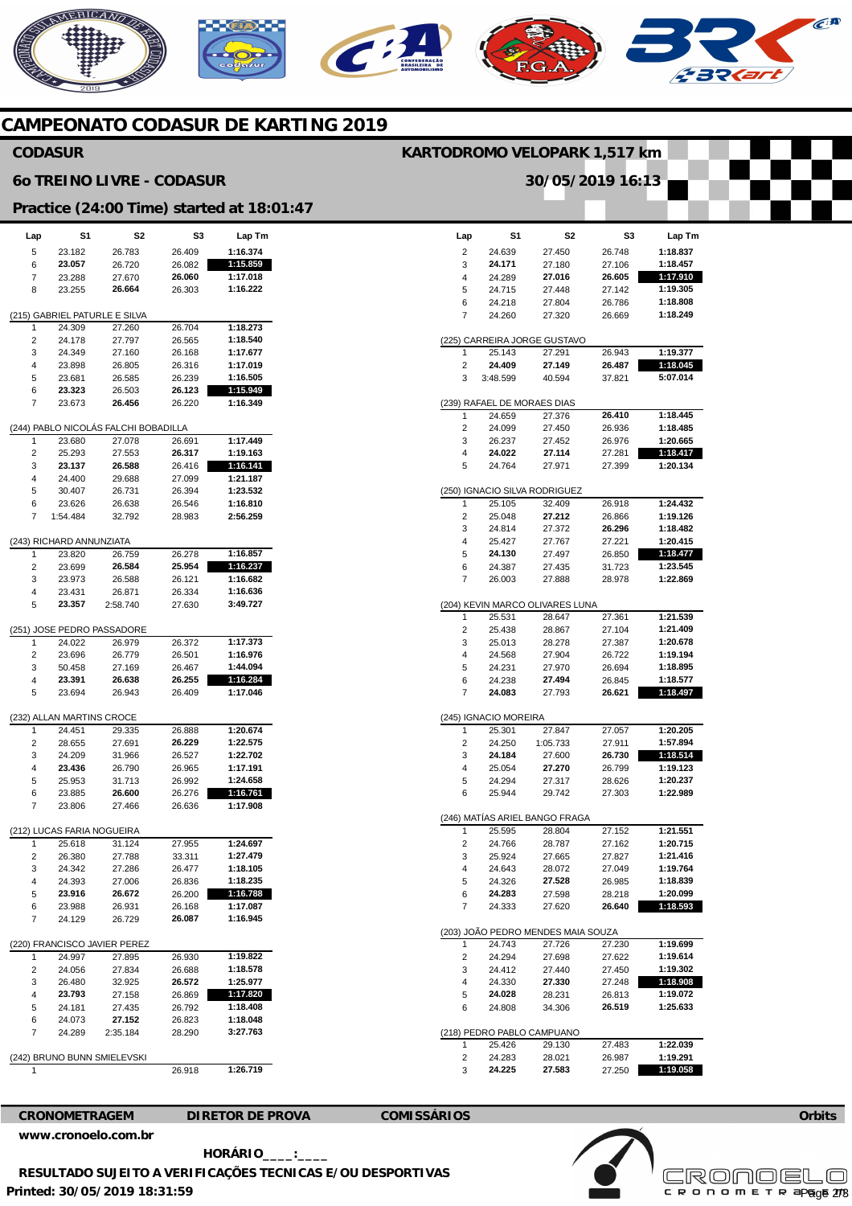

# **CAMPEONATO CODASUR DE KARTING 2019**

## **CODASUR**

#### **6o TREINO LIVRE - CODASUR**

## **Practice (24:00 Time) started at 18:01:47**

| Lap                                  | S1                        | S2                            | S3               | Lap Tm               |  |  |  |  |  |
|--------------------------------------|---------------------------|-------------------------------|------------------|----------------------|--|--|--|--|--|
| 5                                    | 23.182                    | 26.783                        | 26.409           | 1:16.374             |  |  |  |  |  |
| 6                                    | 23.057                    | 26.720                        | 26.082           | 1:15.859             |  |  |  |  |  |
| 7                                    | 23.288                    | 27.670                        | 26.060           | 1:17.018             |  |  |  |  |  |
| 8                                    | 23.255                    | 26.664                        | 26.303           | 1:16.222             |  |  |  |  |  |
|                                      |                           |                               |                  |                      |  |  |  |  |  |
|                                      |                           | (215) GABRIEL PATURLE E SILVA |                  |                      |  |  |  |  |  |
| 1                                    | 24.309                    | 27.260                        | 26.704           | 1:18.273             |  |  |  |  |  |
| $\overline{2}$                       | 24.178                    | 27.797                        | 26.565           | 1:18.540             |  |  |  |  |  |
| 3                                    | 24.349                    | 27.160                        | 26.168           | 1:17.677             |  |  |  |  |  |
| 4                                    | 23.898                    | 26.805                        | 26.316           | 1:17.019             |  |  |  |  |  |
| 5                                    | 23.681                    | 26.585                        | 26.239           | 1:16.505             |  |  |  |  |  |
| 6                                    | 23.323                    | 26.503                        | 26.123           | 1:15.949             |  |  |  |  |  |
| 7                                    | 23.673                    | 26.456                        | 26.220           | 1:16.349             |  |  |  |  |  |
| (244) PABLO NICOLÁS FALCHI BOBADILLA |                           |                               |                  |                      |  |  |  |  |  |
|                                      |                           |                               |                  |                      |  |  |  |  |  |
| 1                                    | 23.680                    | 27.078                        | 26.691           | 1:17.449             |  |  |  |  |  |
| 2                                    | 25.293                    | 27.553                        | 26.317           | 1:19.163             |  |  |  |  |  |
| 3                                    | 23.137                    | 26.588                        | 26.416           | 1:16.141             |  |  |  |  |  |
| 4<br>5                               | 24.400<br>30.407          | 29.688<br>26.731              | 27.099<br>26.394 | 1:21.187<br>1:23.532 |  |  |  |  |  |
| 6                                    | 23.626                    | 26.638                        | 26.546           | 1:16.810             |  |  |  |  |  |
| 7                                    | 1:54.484                  | 32.792                        | 28.983           | 2:56.259             |  |  |  |  |  |
|                                      |                           |                               |                  |                      |  |  |  |  |  |
|                                      | (243) RICHARD ANNUNZIATA  |                               |                  |                      |  |  |  |  |  |
| 1                                    | 23.820                    | 26.759                        | 26.278           | 1:16.857             |  |  |  |  |  |
| 2                                    | 23.699                    | 26.584                        | 25.954           | 1:16.237             |  |  |  |  |  |
| 3                                    | 23.973                    | 26.588                        | 26.121           | 1:16.682             |  |  |  |  |  |
| 4                                    | 23.431                    | 26.871                        | 26.334           | 1:16.636             |  |  |  |  |  |
| 5                                    | 23.357                    | 2:58.740                      | 27.630           | 3:49.727             |  |  |  |  |  |
|                                      |                           |                               |                  |                      |  |  |  |  |  |
|                                      |                           | (251) JOSE PEDRO PASSADORE    |                  |                      |  |  |  |  |  |
| 1                                    | 24.022                    | 26.979                        | 26.372           | 1:17.373             |  |  |  |  |  |
| 2                                    | 23.696                    | 26.779                        | 26.501           | 1:16.976             |  |  |  |  |  |
| 3                                    | 50.458                    | 27.169                        | 26.467           | 1:44.094             |  |  |  |  |  |
| 4                                    | 23.391                    | 26.638                        | 26.255           | 1:16.284             |  |  |  |  |  |
| 5                                    | 23.694                    | 26.943                        | 26.409           | 1:17.046             |  |  |  |  |  |
|                                      |                           |                               |                  |                      |  |  |  |  |  |
|                                      | (232) ALLAN MARTINS CROCE |                               |                  |                      |  |  |  |  |  |
| 1                                    | 24.451                    | 29.335                        | 26.888           | 1:20.674             |  |  |  |  |  |
| 2                                    | 28.655                    | 27.691                        | 26.229           | 1:22.575             |  |  |  |  |  |
| 3                                    | 24.209                    | 31.966                        | 26.527           | 1:22.702             |  |  |  |  |  |
| 4                                    | 23.436                    | 26.790                        | 26.965           | 1:17.191             |  |  |  |  |  |
| 5                                    | 25.953                    | 31.713                        | 26.992           | 1:24.658             |  |  |  |  |  |
| 6<br>7                               | 23.885<br>23.806          | 26.600<br>27.466              | 26.276<br>26.636 | 1:16.761<br>1:17.908 |  |  |  |  |  |
|                                      |                           |                               |                  |                      |  |  |  |  |  |
|                                      |                           | S FARIA NOGUEIRA              |                  |                      |  |  |  |  |  |
| 1                                    | 25.618                    | 31.124                        | 27.955           | 1:24.697             |  |  |  |  |  |
| ∠                                    | 26.380                    | 27.788                        | 33.311           | 1:27.479             |  |  |  |  |  |
| 3                                    | 24.342                    | 27.286                        | 26.477           | 1:18.105             |  |  |  |  |  |
| 4                                    | 24.393                    | 27.006                        | 26.836           | 1:18.235             |  |  |  |  |  |
| 5                                    | 23.916                    | 26.672                        | 26.200           | 1:16.788             |  |  |  |  |  |
| 6                                    | 23.988                    | 26.931                        | 26.168           | 1:17.087             |  |  |  |  |  |
| 7                                    | 24.129                    | 26.729                        | 26.087           | 1:16.945             |  |  |  |  |  |
|                                      |                           |                               |                  |                      |  |  |  |  |  |
|                                      |                           | (220) FRANCISCO JAVIER PEREZ  |                  |                      |  |  |  |  |  |
| 1                                    | 24.997                    | 27.895                        | 26.930           | 1:19.822             |  |  |  |  |  |
| 2                                    | 24.056                    | 27.834                        | 26.688           | 1:18.578             |  |  |  |  |  |
| 3                                    | 26.480                    | 32.925                        | 26.572           | 1:25.977             |  |  |  |  |  |
| 4                                    | 23.793                    | 27.158                        | 26.869           | 1:17.820             |  |  |  |  |  |
| 5                                    | 24.181                    | 27.435                        | 26.792           | 1:18.408             |  |  |  |  |  |
| 6                                    | 24.073                    | 27.152                        | 26.823           | 1:18.048             |  |  |  |  |  |
| 7                                    | 24.289                    | 2:35.184                      | 28.290           | 3:27.763             |  |  |  |  |  |
|                                      |                           |                               |                  |                      |  |  |  |  |  |
|                                      |                           | (242) BRUNO BUNN SMIELEVSKI   |                  |                      |  |  |  |  |  |
| 1                                    |                           |                               | 26.918           | 1:26.719             |  |  |  |  |  |

|     |                             | 30/05/2019 16:13                       |                  |                      |
|-----|-----------------------------|----------------------------------------|------------------|----------------------|
|     |                             |                                        |                  |                      |
|     |                             |                                        |                  |                      |
| Lap | S1                          | S2                                     | S3               | Lap Tm               |
| 2   | 24.639                      | 27.450                                 | 26.748           | 1:18.837             |
| 3   | 24.171                      | 27.180                                 | 27.106           | 1:18.457             |
| 4   | 24.289                      | 27.016                                 | 26.605           | 1:17.910             |
| 5   | 24.715                      | 27.448                                 | 27.142           | 1:19.305             |
| 6   | 24.218                      | 27.804                                 | 26.786           | 1:18.808             |
| 7   | 24.260                      | 27.320                                 | 26.669           | 1:18.249             |
|     |                             |                                        |                  |                      |
| 1   | 25.143                      | (225) CARREIRA JORGE GUSTAVO<br>27.291 | 26.943           | 1:19.377             |
| 2   | 24.409                      | 27.149                                 | 26.487           | 1:18.045             |
| 3   | 3:48.599                    | 40.594                                 | 37.821           | 5:07.014             |
|     | (239) RAFAEL DE MORAES DIAS |                                        |                  |                      |
| 1   | 24.659                      | 27.376                                 | 26.410           | 1:18.445             |
| 2   | 24.099                      | 27.450                                 | 26.936           | 1:18.485             |
|     |                             |                                        |                  | 1:20.665             |
| 3   | 26.237                      | 27.452<br>27.114                       | 26.976<br>27.281 |                      |
| 4   | 24.022                      |                                        |                  | 1:18.417<br>1:20.134 |
| 5   | 24.764                      | 27.971                                 | 27.399           |                      |
|     |                             | (250) IGNACIO SILVA RODRIGUEZ          |                  |                      |
| 1   | 25.105                      | 32.409                                 | 26.918           | 1:24.432             |
| 2   | 25.048                      | 27.212                                 | 26.866           | 1:19.126             |
| 3   | 24.814                      | 27.372                                 | 26.296           | 1:18.482             |
| 4   | 25.427                      | 27.767                                 | 27.221           | 1:20.415             |
| 5   | 24.130                      | 27.497                                 | 26.850           | 1:18.477             |
| 6   | 24.387                      | 27.435                                 | 31.723           | 1:23.545             |
| 7   | 26.003                      | 27.888                                 | 28.978           | 1:22.869             |
|     |                             | (204) KEVIN MARCO OLIVARES LUNA        |                  |                      |
| 1   | 25.531                      | 28.647                                 | 27.361           | 1:21.539             |
| 2   | 25.438                      | 28.867                                 | 27.104           | 1:21.409             |
| 3   | 25.013                      | 28.278                                 | 27.387           | 1:20.678             |
| 4   | 24.568                      | 27.904                                 | 26.722           | 1:19.194             |
| 5   | 24.231                      | 27.970                                 | 26.694           | 1:18.895             |
| 6   | 24.238                      | 27.494                                 | 26.845           | 1:18.577             |
| 7   | 24.083                      | 27.793                                 | 26.621           | 1:18.497             |
|     | (245) IGNACIO MOREIRA       |                                        |                  |                      |
| 1   | 25.301                      | 27.847                                 | 27.057           | 1:20.205             |
| 2   | 24.250                      | 1:05.733                               | 27.911           | 1:57.894             |
| 3   | 24.184                      | 27.600                                 | 26.730           | 1:18.514             |
| 4   | 25.054                      | 27.270                                 | 26.799           | 1:19.123             |
| 5   | 24.294                      | 27.317                                 | 28.626           | 1:20.237             |
| 6   | 25.944                      | 29.742                                 | 27.303           | 1:22.989             |
|     |                             | (246) MATIAS ARIEL BANGO FRAGA         |                  |                      |
| 1   | 25.595                      | 28.804                                 | 27.152           | 1:21.551             |
| 2   | 24.766                      | 28.787                                 | 27.162           | 1:20.715             |
| 3   | 25.924                      | 27.665                                 | 27.827           | 1:21.416             |
| 4   | 24.643                      | 28.072                                 | 27.049           | 1:19.764             |
| 5   | 24.326                      | 27.528                                 | 26.985           | 1:18.839             |
| 6   | 24.283                      | 27.598                                 | 28.218           | 1:20.099             |
| 7   | 24.333                      | 27.620                                 | 26.640           | 1:18.593             |
|     |                             | (203) JOÃO PEDRO MENDES MAIA SOUZA     |                  |                      |
| 1   | 24.743                      | 27.726                                 | 27.230           | 1:19.699             |
| 2   | 24.294                      | 27.698                                 | 27.622           | 1:19.614             |
| 3   | 24.412                      | 27.440                                 | 27.450           | 1:19.302             |
| 4   | 24.330                      | 27.330                                 | 27.248           | 1:18.908             |
| 5   | 24.028                      | 28.231                                 | 26.813           | 1:19.072             |
| 6   | 24.808                      | 34.306                                 | 26.519           | 1:25.633             |
|     |                             |                                        |                  |                      |
|     |                             | (218) PEDRO PABLO CAMPUANO             |                  |                      |
| 1   | 25.426                      | 29.130                                 | 27.483           | 1:22.039             |
| 2   | 24.283                      | 28.021                                 | 26.987           | 1:19.291             |
| 3   | 24.225                      | 27.583                                 | 27.250           | 1:19.058             |

**KARTODROMO VELOPARK 1,517 km** 

**[www.cronoelo.com.br](http://www.cronoelo.com.br)** 

**CRONOMETRAGEM DIRETOR DE PROVA COMISSÁRIOS** 



**Printed: 30/05/2019 18:31:59 HORÁRIO\_\_\_\_:\_\_\_\_ RESULTADO SUJEITO A VERIFICAÇÕES TECNICAS E/OU DESPORTIVAS**